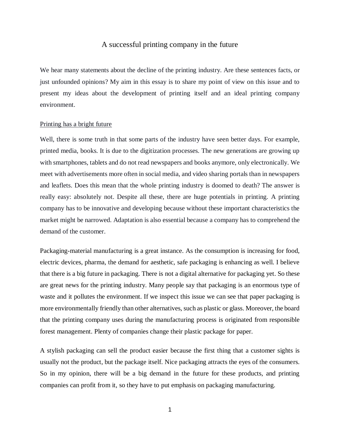# A successful printing company in the future

We hear many statements about the decline of the printing industry. Are these sentences facts, or just unfounded opinions? My aim in this essay is to share my point of view on this issue and to present my ideas about the development of printing itself and an ideal printing company environment.

### Printing has a bright future

Well, there is some truth in that some parts of the industry have seen better days. For example, printed media, books. It is due to the digitization processes. The new generations are growing up with smartphones, tablets and do not read newspapers and books anymore, only electronically. We meet with advertisements more often in social media, and video sharing portals than in newspapers and leaflets. Does this mean that the whole printing industry is doomed to death? The answer is really easy: absolutely not. Despite all these, there are huge potentials in printing. A printing company has to be innovative and developing because without these important characteristics the market might be narrowed. Adaptation is also essential because a company has to comprehend the demand of the customer.

Packaging-material manufacturing is a great instance. As the consumption is increasing for food, electric devices, pharma, the demand for aesthetic, safe packaging is enhancing as well. I believe that there is a big future in packaging. There is not a digital alternative for packaging yet. So these are great news for the printing industry. Many people say that packaging is an enormous type of waste and it pollutes the environment. If we inspect this issue we can see that paper packaging is more environmentally friendly than other alternatives, such as plastic or glass. Moreover, the board that the printing company uses during the manufacturing process is originated from responsible forest management. Plenty of companies change their plastic package for paper.

A stylish packaging can sell the product easier because the first thing that a customer sights is usually not the product, but the package itself. Nice packaging attracts the eyes of the consumers. So in my opinion, there will be a big demand in the future for these products, and printing companies can profit from it, so they have to put emphasis on packaging manufacturing.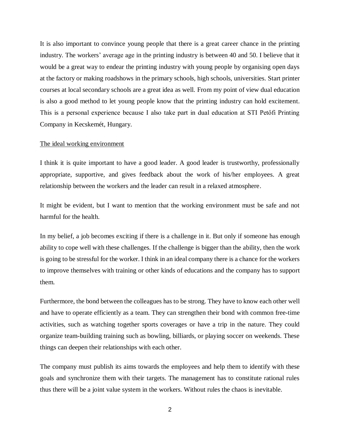It is also important to convince young people that there is a great career chance in the printing industry. The workers' average age in the printing industry is between 40 and 50. I believe that it would be a great way to endear the printing industry with young people by organising open days at the factory or making roadshows in the primary schools, high schools, universities. Start printer courses at local secondary schools are a great idea as well. From my point of view dual education is also a good method to let young people know that the printing industry can hold excitement. This is a personal experience because I also take part in dual education at STI Petőfi Printing Company in Kecskemét, Hungary.

#### The ideal working environment

I think it is quite important to have a good leader. A good leader is trustworthy, professionally appropriate, supportive, and gives feedback about the work of his/her employees. A great relationship between the workers and the leader can result in a relaxed atmosphere.

It might be evident, but I want to mention that the working environment must be safe and not harmful for the health.

In my belief, a job becomes exciting if there is a challenge in it. But only if someone has enough ability to cope well with these challenges. If the challenge is bigger than the ability, then the work is going to be stressful for the worker. I think in an ideal company there is a chance for the workers to improve themselves with training or other kinds of educations and the company has to support them.

Furthermore, the bond between the colleagues has to be strong. They have to know each other well and have to operate efficiently as a team. They can strengthen their bond with common free-time activities, such as watching together sports coverages or have a trip in the nature. They could organize team-building training such as bowling, billiards, or playing soccer on weekends. These things can deepen their relationships with each other.

The company must publish its aims towards the employees and help them to identify with these goals and synchronize them with their targets. The management has to constitute rational rules thus there will be a joint value system in the workers. Without rules the chaos is inevitable.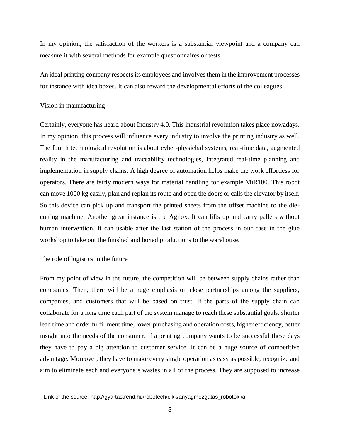In my opinion, the satisfaction of the workers is a substantial viewpoint and a company can measure it with several methods for example questionnaires or tests.

An ideal printing company respects its employees and involvesthem in the improvement processes for instance with idea boxes. It can also reward the developmental efforts of the colleagues.

### Vision in manufacturing

Certainly, everyone has heard about Industry 4.0. This industrial revolution takes place nowadays. In my opinion, this process will influence every industry to involve the printing industry as well. The fourth technological revolution is about cyber-physichal systems, real-time data, augmented reality in the manufacturing and traceability technologies, integrated real-time planning and implementation in supply chains. A high degree of automation helps make the work effortless for operators. There are fairly modern ways for material handling for example MiR100. This robot can move 1000 kg easily, plan and replan its route and open the doors or calls the elevator by itself. So this device can pick up and transport the printed sheets from the offset machine to the diecutting machine. Another great instance is the Agilox. It can lifts up and carry pallets without human intervention. It can usable after the last station of the process in our case in the glue workshop to take out the finished and boxed productions to the warehouse.<sup>1</sup>

# The role of logistics in the future

From my point of view in the future, the competition will be between supply chains rather than companies. Then, there will be a huge emphasis on close partnerships among the suppliers, companies, and customers that will be based on trust. If the parts of the supply chain can collaborate for a long time each part of the system manage to reach these substantial goals: shorter lead time and order fulfillment time, lower purchasing and operation costs, higher efficiency, better insight into the needs of the consumer. If a printing company wants to be successful these days they have to pay a big attention to customer service. It can be a huge source of competitive advantage. Moreover, they have to make every single operation as easy as possible, recognize and aim to eliminate each and everyone's wastes in all of the process. They are supposed to increase

<sup>&</sup>lt;sup>1</sup> Link of the source: http://gyartastrend.hu/robotech/cikk/anyagmozgatas\_robotokkal